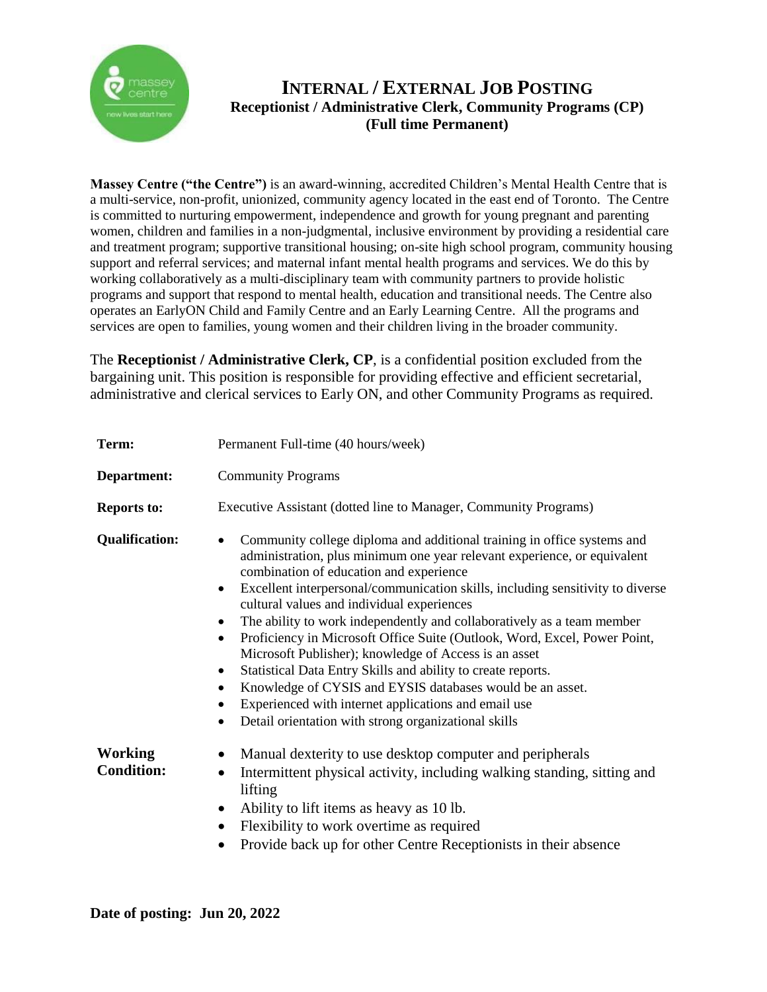

## **INTERNAL / EXTERNAL JOB POSTING Receptionist / Administrative Clerk, Community Programs (CP) (Full time Permanent)**

**Massey Centre ("the Centre")** is an award-winning, accredited Children's Mental Health Centre that is a multi-service, non-profit, unionized, community agency located in the east end of Toronto. The Centre is committed to nurturing empowerment, independence and growth for young pregnant and parenting women, children and families in a non-judgmental, inclusive environment by providing a residential care and treatment program; supportive transitional housing; on-site high school program, community housing support and referral services; and maternal infant mental health programs and services. We do this by working collaboratively as a multi-disciplinary team with community partners to provide holistic programs and support that respond to mental health, education and transitional needs. The Centre also operates an EarlyON Child and Family Centre and an Early Learning Centre. All the programs and services are open to families, young women and their children living in the broader community.

The **Receptionist / Administrative Clerk, CP**, is a confidential position excluded from the bargaining unit. This position is responsible for providing effective and efficient secretarial, administrative and clerical services to Early ON, and other Community Programs as required.

| Term:                               | Permanent Full-time (40 hours/week)                                                                                                                                                                                                                                                                                                                                                                                                                                                                                                                                                                                                                                                                                                                                                                                                                                                         |
|-------------------------------------|---------------------------------------------------------------------------------------------------------------------------------------------------------------------------------------------------------------------------------------------------------------------------------------------------------------------------------------------------------------------------------------------------------------------------------------------------------------------------------------------------------------------------------------------------------------------------------------------------------------------------------------------------------------------------------------------------------------------------------------------------------------------------------------------------------------------------------------------------------------------------------------------|
| Department:                         | <b>Community Programs</b>                                                                                                                                                                                                                                                                                                                                                                                                                                                                                                                                                                                                                                                                                                                                                                                                                                                                   |
| <b>Reports to:</b>                  | Executive Assistant (dotted line to Manager, Community Programs)                                                                                                                                                                                                                                                                                                                                                                                                                                                                                                                                                                                                                                                                                                                                                                                                                            |
| <b>Qualification:</b>               | Community college diploma and additional training in office systems and<br>$\bullet$<br>administration, plus minimum one year relevant experience, or equivalent<br>combination of education and experience<br>Excellent interpersonal/communication skills, including sensitivity to diverse<br>$\bullet$<br>cultural values and individual experiences<br>The ability to work independently and collaboratively as a team member<br>$\bullet$<br>Proficiency in Microsoft Office Suite (Outlook, Word, Excel, Power Point,<br>$\bullet$<br>Microsoft Publisher); knowledge of Access is an asset<br>Statistical Data Entry Skills and ability to create reports.<br>٠<br>Knowledge of CYSIS and EYSIS databases would be an asset.<br>$\bullet$<br>Experienced with internet applications and email use<br>$\bullet$<br>Detail orientation with strong organizational skills<br>$\bullet$ |
| <b>Working</b><br><b>Condition:</b> | Manual dexterity to use desktop computer and peripherals<br>$\bullet$<br>Intermittent physical activity, including walking standing, sitting and<br>$\bullet$<br>lifting<br>Ability to lift items as heavy as 10 lb.<br>$\bullet$<br>Flexibility to work overtime as required<br>$\bullet$<br>Provide back up for other Centre Receptionists in their absence                                                                                                                                                                                                                                                                                                                                                                                                                                                                                                                               |